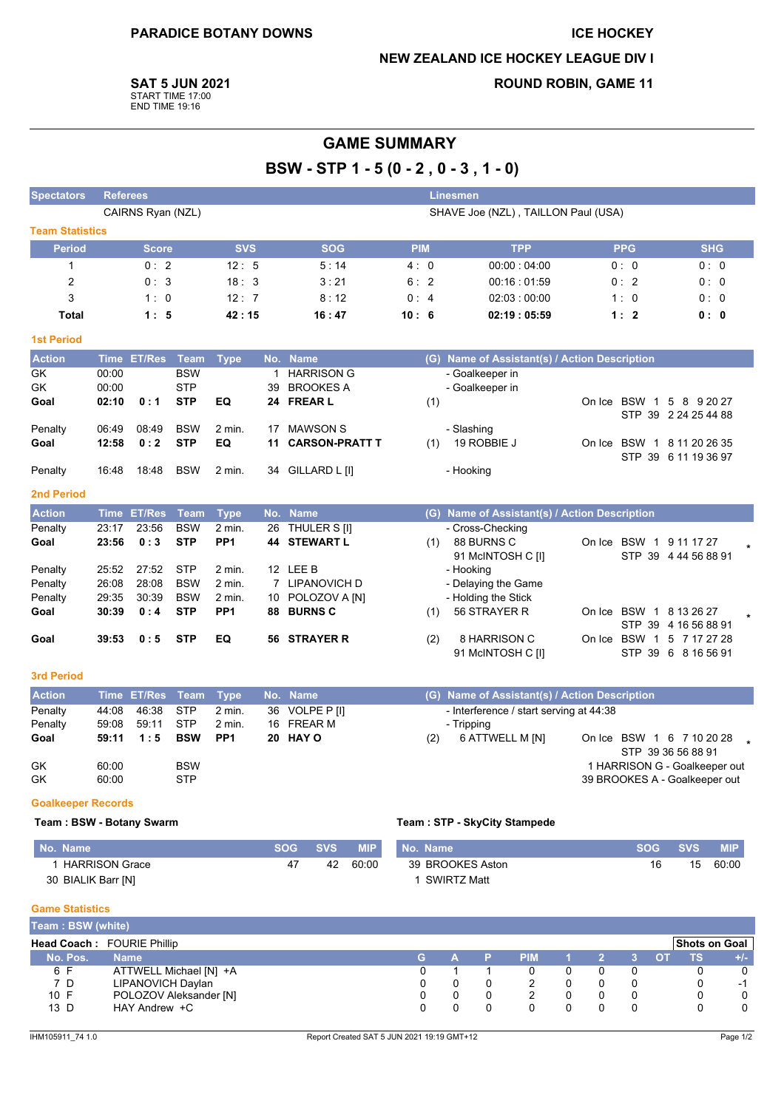#### **ICE HOCKEY**

### **NEW ZEALAND ICE HOCKEY LEAGUE DIV I**

**SAT 5 JUN 2021** 

START TIME 17:00<br>END TIME 19:16

# **ROUND ROBIN, GAME 11**

# **GAME SUMMARY**

BSW - STP 1 - 5 (0 - 2, 0 - 3, 1 - 0)

| <b>Spectators</b>      | <b>Referees</b> |                   |                          |                 |    |                                  |            |     | <b>Linesmen</b>                               |            |                                                    |  |
|------------------------|-----------------|-------------------|--------------------------|-----------------|----|----------------------------------|------------|-----|-----------------------------------------------|------------|----------------------------------------------------|--|
|                        |                 | CAIRNS Ryan (NZL) |                          |                 |    |                                  |            |     | SHAVE Joe (NZL), TAILLON Paul (USA)           |            |                                                    |  |
| <b>Team Statistics</b> |                 |                   |                          |                 |    |                                  |            |     |                                               |            |                                                    |  |
| <b>Period</b>          |                 | <b>Score</b>      |                          | <b>SVS</b>      |    | <b>SOG</b>                       | <b>PIM</b> |     | <b>TPP</b>                                    | <b>PPG</b> | <b>SHG</b>                                         |  |
| $\mathbf{1}$           |                 | 0:2               |                          | 12:5            |    | 5:14                             | 4:0        |     | 00:00:04:00                                   | 0:0        | 0: 0                                               |  |
| $\overline{2}$         |                 | 0:3               |                          | 18:3            |    | 3:21                             | 6:2        |     | 00:16:01:59                                   | 0:2        | 0:0                                                |  |
| 3                      |                 | 1:0               |                          | 12:7            |    | 8:12                             | 0:4        |     | 02:03:00:00                                   | 1:0        | 0:0                                                |  |
| <b>Total</b>           |                 | 1:5               |                          | 42:15           |    | 16:47                            | 10:6       |     | 02:19:05:59                                   | 1:2        | 0:0                                                |  |
| <b>1st Period</b>      |                 |                   |                          |                 |    |                                  |            |     |                                               |            |                                                    |  |
| <b>Action</b>          |                 | Time ET/Res       | Team                     | <b>Type</b>     |    | No. Name                         |            |     | (G) Name of Assistant(s) / Action Description |            |                                                    |  |
| <b>GK</b><br>GK        | 00:00<br>00:00  |                   | <b>BSW</b><br><b>STP</b> |                 | 39 | 1 HARRISON G<br><b>BROOKES A</b> |            |     | - Goalkeeper in<br>- Goalkeeper in            |            |                                                    |  |
| Goal                   | 02:10           | 0:1               | <b>STP</b>               | EQ              |    | 24 FREAR L                       |            | (1) |                                               |            | On Ice BSW 1 5 8 9 20 27<br>STP 39 2 24 25 44 88   |  |
| Penalty                | 06:49           | 08:49             | <b>BSW</b>               | $2$ min.        | 17 | <b>MAWSON S</b>                  |            |     | - Slashing                                    |            |                                                    |  |
| Goal                   | 12:58           | 0:2               | <b>STP</b>               | EQ              | 11 | <b>CARSON-PRATT T</b>            |            | (1) | 19 ROBBIE J                                   |            | On Ice BSW 1 8 11 20 26 35<br>STP 39 6 11 19 36 97 |  |
| Penalty                | 16:48           | 18:48             | <b>BSW</b>               | $2$ min.        | 34 | GILLARD L [I]                    |            |     | - Hooking                                     |            |                                                    |  |
| <b>2nd Period</b>      |                 |                   |                          |                 |    |                                  |            |     |                                               |            |                                                    |  |
| <b>Action</b>          |                 | Time ET/Res       | Team                     | <b>Type</b>     |    | No. Name                         |            |     | (G) Name of Assistant(s) / Action Description |            |                                                    |  |
| Penalty                | 23:17           | 23:56             | <b>BSW</b>               | 2 min.          | 26 | THULER S [I]                     |            |     | - Cross-Checking                              |            |                                                    |  |
| Goal                   | 23:56           | 0:3               | <b>STP</b>               | PP <sub>1</sub> |    | <b>44 STEWART L</b>              |            | (1) | 88 BURNS C<br>91 McINTOSH C [I]               |            | On Ice BSW 1 9 11 17 27<br>STP 39 4 44 56 88 91    |  |
| Penalty                | 25:52           | 27:52             | <b>STP</b>               | 2 min.          |    | 12 LEE B                         |            |     | - Hooking                                     |            |                                                    |  |
| Penalty                | 26:08           | 28:08             | <b>BSW</b>               | $2$ min.        |    | 7 LIPANOVICH D                   |            |     | - Delaying the Game                           |            |                                                    |  |
| Penalty                | 29:35           | 30:39             | <b>BSW</b>               | $2$ min.        | 10 | POLOZOV A [N]                    |            |     | - Holding the Stick                           |            |                                                    |  |
| Goal                   | 30:39           | 0:4               | <b>STP</b>               | PP <sub>1</sub> |    | 88 BURNS C                       |            | (1) | 56 STRAYER R                                  |            | On Ice BSW 1 8 13 26 27<br>STP 39 4 16 56 88 91    |  |
| Goal                   | 39:53           | 0:5               | <b>STP</b>               | <b>EQ</b>       |    | 56 STRAYER R                     |            | (2) | 8 HARRISON C<br>91 McINTOSH C [I]             |            | On Ice BSW 1 5 7 17 27 28<br>STP 39 6 8 16 56 91   |  |
| <b>3rd Period</b>      |                 |                   |                          |                 |    |                                  |            |     |                                               |            |                                                    |  |
| <b>Action</b>          |                 | Time ET/Res       | <b>Team</b>              | <b>Type</b>     |    | No. Name                         |            |     | (G) Name of Assistant(s) / Action Description |            |                                                    |  |
| Penalty                | 44:08           | 46:38             | <b>STP</b>               | 2 min.          |    | 36 VOLPE P [I]                   |            |     | - Interference / start serving at 44:38       |            |                                                    |  |
| Penalty                | 59:08           | 59:11             | <b>STP</b>               | 2 min.          |    | 16 FREAR M                       |            |     | - Tripping                                    |            |                                                    |  |
| Goal                   | 59:11           | 1:5               | <b>BSW</b>               | PP <sub>1</sub> |    | 20 HAY O                         |            | (2) | 6 ATTWELL M [N]                               |            | On Ice BSW 1 6 7 10 20 28                          |  |
|                        |                 |                   |                          |                 |    |                                  |            |     |                                               |            | STP 39 36 56 88 91                                 |  |
| GK                     | 60:00           |                   | <b>BSW</b>               |                 |    |                                  |            |     |                                               |            | 1 HARRISON G - Goalkeeper out                      |  |
| GK                     | 60:00           |                   | <b>STP</b>               |                 |    |                                  |            |     |                                               |            | 39 BROOKES A - Goalkeeper out                      |  |
|                        |                 |                   |                          |                 |    |                                  |            |     |                                               |            |                                                    |  |

#### Team: BSW - Botany Swarm

Team: STP - SkyCity Stampede

| No. Name              | SOG SVS | <b>MIP</b> | No. Name           | <b>SOG</b> | <b>SVS</b> | MIP.  |
|-----------------------|---------|------------|--------------------|------------|------------|-------|
| <b>HARRISON Grace</b> | 42      | 60:00      | 39 BROOKES Aston   | 16         | 15         | 60:00 |
| 30 BIALIK Barr [N]    |         |            | <b>SWIRTZ Matt</b> |            |            |       |

#### **Game Statistics**

| Team: BSW (white) |                                   |    |              |  |            |  |  |  |    |               |       |
|-------------------|-----------------------------------|----|--------------|--|------------|--|--|--|----|---------------|-------|
|                   | <b>Head Coach: FOURIE Phillip</b> |    |              |  |            |  |  |  |    | Shots on Goal |       |
| No. Pos.          | <b>Name</b>                       | G. | $\mathbf{A}$ |  | <b>PIM</b> |  |  |  | דר | тs            | $+/-$ |
| 6 F               | ATTWELL Michael [N] +A            |    |              |  |            |  |  |  |    |               |       |
| 7 D               | LIPANOVICH Daylan                 |    |              |  |            |  |  |  |    |               | $-1$  |
| 10 F              | POLOZOV Aleksander [N]            |    |              |  |            |  |  |  |    |               |       |
| 13 D              | HAY Andrew +C                     |    |              |  |            |  |  |  |    |               |       |